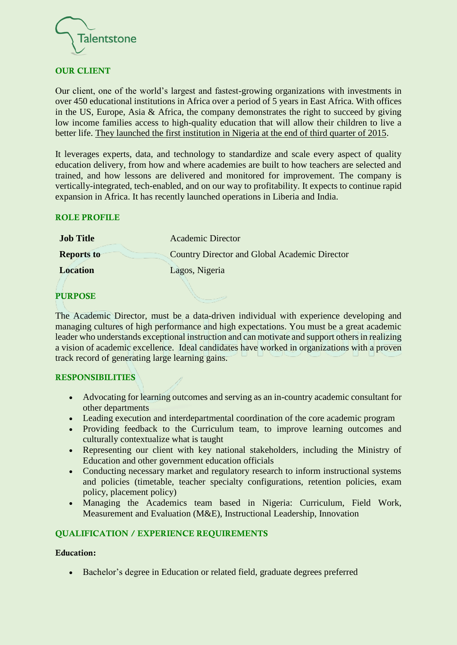

# OUR CLIENT

Our client, one of the world's largest and fastest-growing organizations with investments in over 450 educational institutions in Africa over a period of 5 years in East Africa. With offices in the US, Europe, Asia & Africa, the company demonstrates the right to succeed by giving low income families access to high-quality education that will allow their children to live a better life. They launched the first institution in Nigeria at the end of third quarter of 2015.

It leverages experts, data, and technology to standardize and scale every aspect of quality education delivery, from how and where academies are built to how teachers are selected and trained, and how lessons are delivered and monitored for improvement. The company is vertically-integrated, tech-enabled, and on our way to profitability. It expects to continue rapid expansion in Africa. It has recently launched operations in Liberia and India.

## ROLE PROFILE

| <b>Job Title</b>  | <b>Academic Director</b>                             |
|-------------------|------------------------------------------------------|
| <b>Reports to</b> | <b>Country Director and Global Academic Director</b> |
| <b>Location</b>   | Lagos, Nigeria                                       |

#### PURPOSE

The Academic Director, must be a data-driven individual with experience developing and managing cultures of high performance and high expectations. You must be a great academic leader who understands exceptional instruction and can motivate and support others in realizing a vision of academic excellence. Ideal candidates have worked in organizations with a proven track record of generating large learning gains.

#### RESPONSIBILITIES

- Advocating for learning outcomes and serving as an in-country academic consultant for other departments
- Leading execution and interdepartmental coordination of the core academic program
- Providing feedback to the Curriculum team, to improve learning outcomes and culturally contextualize what is taught
- Representing our client with key national stakeholders, including the Ministry of Education and other government education officials
- Conducting necessary market and regulatory research to inform instructional systems and policies (timetable, teacher specialty configurations, retention policies, exam policy, placement policy)
- Managing the Academics team based in Nigeria: Curriculum, Field Work, Measurement and Evaluation (M&E), Instructional Leadership, Innovation

## QUALIFICATION / EXPERIENCE REQUIREMENTS

#### Education:

• Bachelor's degree in Education or related field, graduate degrees preferred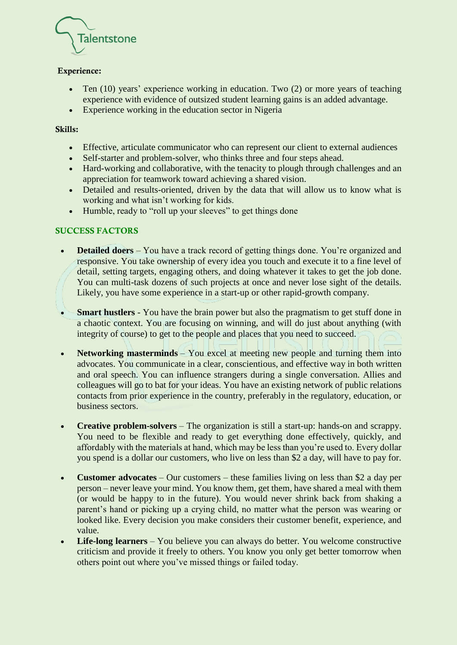

# Experience:

- Ten (10) years' experience working in education. Two (2) or more years of teaching experience with evidence of outsized student learning gains is an added advantage.
- Experience working in the education sector in Nigeria

### Skills:

- Effective, articulate communicator who can represent our client to external audiences
- Self-starter and problem-solver, who thinks three and four steps ahead.
- Hard-working and collaborative, with the tenacity to plough through challenges and an appreciation for teamwork toward achieving a shared vision.
- Detailed and results-oriented, driven by the data that will allow us to know what is working and what isn't working for kids.
- Humble, ready to "roll up your sleeves" to get things done

# SUCCESS FACTORS

- **Detailed doers** You have a track record of getting things done. You're organized and responsive. You take ownership of every idea you touch and execute it to a fine level of detail, setting targets, engaging others, and doing whatever it takes to get the job done. You can multi-task dozens of such projects at once and never lose sight of the details. Likely, you have some experience in a start-up or other rapid-growth company.
- **Smart hustlers** You have the brain power but also the pragmatism to get stuff done in a chaotic context. You are focusing on winning, and will do just about anything (with integrity of course) to get to the people and places that you need to succeed.
- **Networking masterminds** You excel at meeting new people and turning them into advocates. You communicate in a clear, conscientious, and effective way in both written and oral speech. You can influence strangers during a single conversation. Allies and colleagues will go to bat for your ideas. You have an existing network of public relations contacts from prior experience in the country, preferably in the regulatory, education, or business sectors.
- **Creative problem-solvers** The organization is still a start-up: hands-on and scrappy. You need to be flexible and ready to get everything done effectively, quickly, and affordably with the materials at hand, which may be less than you're used to. Every dollar you spend is a dollar our customers, who live on less than \$2 a day, will have to pay for.
- **Customer advocates** Our customers these families living on less than \$2 a day per person – never leave your mind. You know them, get them, have shared a meal with them (or would be happy to in the future). You would never shrink back from shaking a parent's hand or picking up a crying child, no matter what the person was wearing or looked like. Every decision you make considers their customer benefit, experience, and value.
- **Life-long learners** You believe you can always do better. You welcome constructive criticism and provide it freely to others. You know you only get better tomorrow when others point out where you've missed things or failed today.